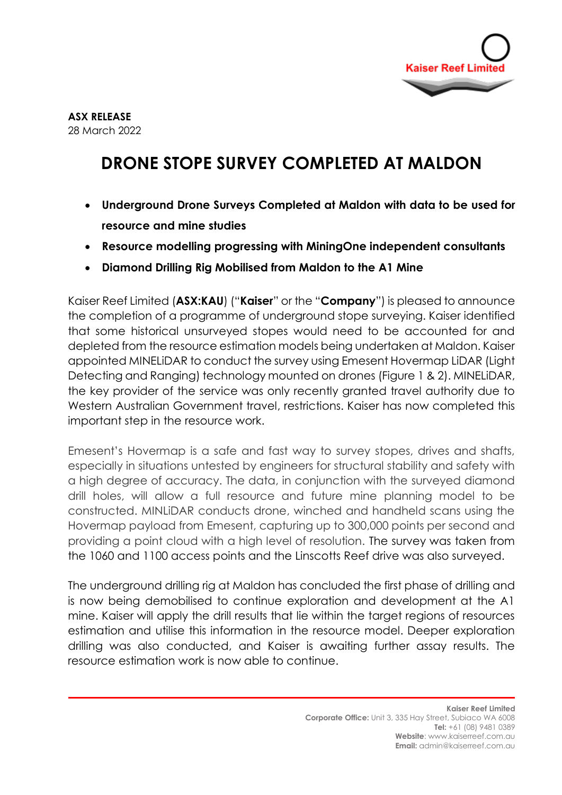

## **DRONE STOPE SURVEY COMPLETED AT MALDON**

- **Underground Drone Surveys Completed at Maldon with data to be used for resource and mine studies**
- **Resource modelling progressing with MiningOne independent consultants**
- **Diamond Drilling Rig Mobilised from Maldon to the A1 Mine**

Kaiser Reef Limited (**ASX:KAU**) ("**Kaiser**" or the "**Company**") is pleased to announce the completion of a programme of underground stope surveying. Kaiser identified that some historical unsurveyed stopes would need to be accounted for and depleted from the resource estimation models being undertaken at Maldon. Kaiser appointed MINELiDAR to conduct the survey using Emesent Hovermap LiDAR (Light Detecting and Ranging) technology mounted on drones (Figure 1 & 2). MINELiDAR, the key provider of the service was only recently granted travel authority due to Western Australian Government travel, restrictions. Kaiser has now completed this important step in the resource work.

Emesent's Hovermap is a safe and fast way to survey stopes, drives and shafts, especially in situations untested by engineers for structural stability and safety with a high degree of accuracy. The data, in conjunction with the surveyed diamond drill holes, will allow a full resource and future mine planning model to be constructed. MINLiDAR conducts drone, winched and handheld scans using the Hovermap payload from Emesent, capturing up to 300,000 points per second and providing a point cloud with a high level of resolution. The survey was taken from the 1060 and 1100 access points and the Linscotts Reef drive was also surveyed.

The underground drilling rig at Maldon has concluded the first phase of drilling and is now being demobilised to continue exploration and development at the A1 mine. Kaiser will apply the drill results that lie within the target regions of resources estimation and utilise this information in the resource model. Deeper exploration drilling was also conducted, and Kaiser is awaiting further assay results. The resource estimation work is now able to continue.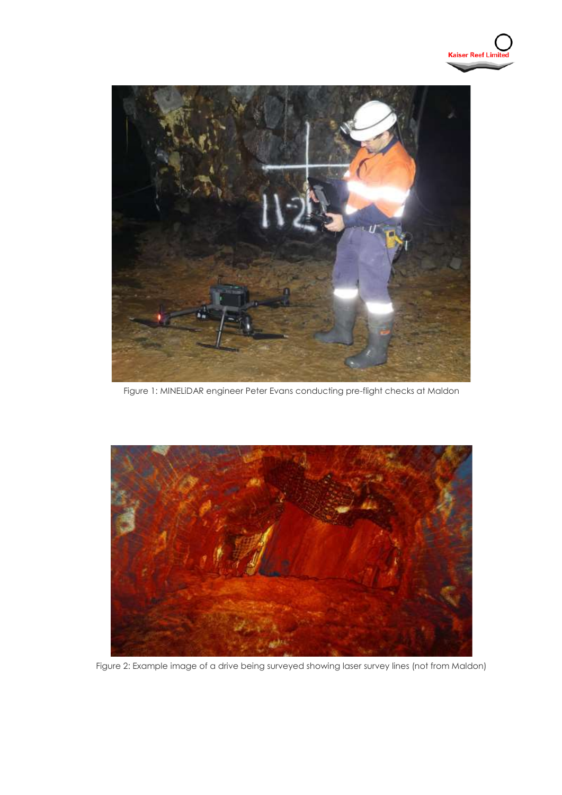



Figure 1: MINELiDAR engineer Peter Evans conducting pre-flight checks at Maldon



Figure 2: Example image of a drive being surveyed showing laser survey lines (not from Maldon)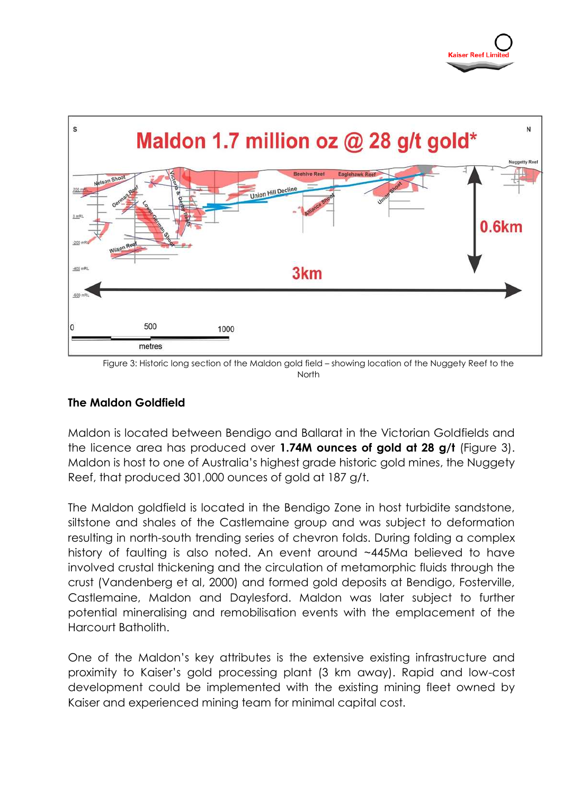

North

## **The Maldon Goldfield**

Maldon is located between Bendigo and Ballarat in the Victorian Goldfields and the licence area has produced over **1.74M ounces of gold at 28 g/t** (Figure 3). Maldon is host to one of Australia's highest grade historic gold mines, the Nuggety Reef, that produced 301,000 ounces of gold at 187 g/t.

The Maldon goldfield is located in the Bendigo Zone in host turbidite sandstone, siltstone and shales of the Castlemaine group and was subject to deformation resulting in north-south trending series of chevron folds. During folding a complex history of faulting is also noted. An event around ~445Ma believed to have involved crustal thickening and the circulation of metamorphic fluids through the crust (Vandenberg et al, 2000) and formed gold deposits at Bendigo, Fosterville, Castlemaine, Maldon and Daylesford. Maldon was later subject to further potential mineralising and remobilisation events with the emplacement of the Harcourt Batholith.

One of the Maldon's key attributes is the extensive existing infrastructure and proximity to Kaiser's gold processing plant (3 km away). Rapid and low-cost development could be implemented with the existing mining fleet owned by Kaiser and experienced mining team for minimal capital cost.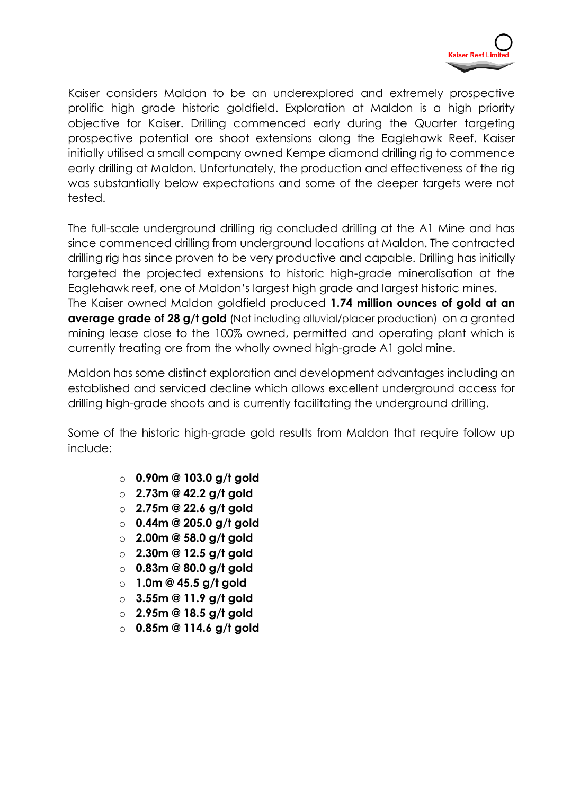

Kaiser considers Maldon to be an underexplored and extremely prospective prolific high grade historic goldfield. Exploration at Maldon is a high priority objective for Kaiser. Drilling commenced early during the Quarter targeting prospective potential ore shoot extensions along the Eaglehawk Reef. Kaiser initially utilised a small company owned Kempe diamond drilling rig to commence early drilling at Maldon. Unfortunately, the production and effectiveness of the rig was substantially below expectations and some of the deeper targets were not tested.

The full-scale underground drilling rig concluded drilling at the A1 Mine and has since commenced drilling from underground locations at Maldon. The contracted drilling rig has since proven to be very productive and capable. Drilling has initially targeted the projected extensions to historic high-grade mineralisation at the Eaglehawk reef, one of Maldon's largest high grade and largest historic mines. The Kaiser owned Maldon goldfield produced **1.74 million ounces of gold at an average grade of 28 g/t gold** (Not including alluvial/placer production) on a granted mining lease close to the 100% owned, permitted and operating plant which is currently treating ore from the wholly owned high-grade A1 gold mine.

Maldon has some distinct exploration and development advantages including an established and serviced decline which allows excellent underground access for drilling high-grade shoots and is currently facilitating the underground drilling.

Some of the historic high-grade gold results from Maldon that require follow up include:

- o **0.90m @ 103.0 g/t gold**
- o **2.73m @ 42.2 g/t gold**
- o **2.75m @ 22.6 g/t gold**
- o **0.44m @ 205.0 g/t gold**
- o **2.00m @ 58.0 g/t gold**
- o **2.30m @ 12.5 g/t gold**
- o **0.83m @ 80.0 g/t gold**
- o **1.0m @ 45.5 g/t gold**
- o **3.55m @ 11.9 g/t gold**
- o **2.95m @ 18.5 g/t gold**
- o **0.85m @ 114.6 g/t gold**